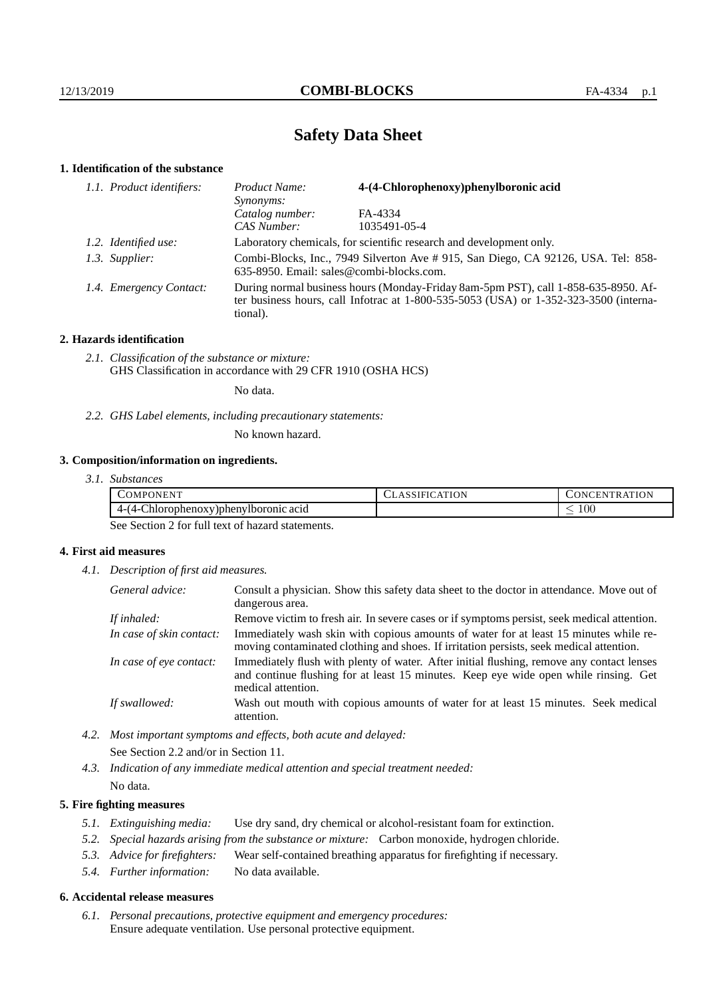# **Safety Data Sheet**

## **1. Identification of the substance**

| 1.1. Product identifiers: | 4-(4-Chlorophenoxy)phenylboronic acid<br>Product Name:<br>Synonyms:                                                                                                                     |              |  |
|---------------------------|-----------------------------------------------------------------------------------------------------------------------------------------------------------------------------------------|--------------|--|
|                           | Catalog number:                                                                                                                                                                         | FA-4334      |  |
|                           | CAS Number:                                                                                                                                                                             | 1035491-05-4 |  |
| 1.2. Identified use:      | Laboratory chemicals, for scientific research and development only.                                                                                                                     |              |  |
| 1.3. Supplier:            | Combi-Blocks, Inc., 7949 Silverton Ave # 915, San Diego, CA 92126, USA. Tel: 858-<br>635-8950. Email: sales@combi-blocks.com.                                                           |              |  |
| 1.4. Emergency Contact:   | During normal business hours (Monday-Friday 8am-5pm PST), call 1-858-635-8950. Af-<br>ter business hours, call Infotrac at 1-800-535-5053 (USA) or 1-352-323-3500 (interna-<br>tional). |              |  |

## **2. Hazards identification**

*2.1. Classification of the substance or mixture:* GHS Classification in accordance with 29 CFR 1910 (OSHA HCS)

No data.

*2.2. GHS Label elements, including precautionary statements:*

No known hazard.

## **3. Composition/information on ingredients.**

| 3.1. Substances |
|-----------------|
|                 |

| OMP'<br>IN HN                                    | 1.777223<br>')N | E.N<br>N<br>. .                 |
|--------------------------------------------------|-----------------|---------------------------------|
| $\sim$<br>7) phenylboronic<br>'orophenox<br>acid |                 | 100<br>$\overline{\phantom{a}}$ |

See Section 2 for full text of hazard statements.

## **4. First aid measures**

*4.1. Description of first aid measures.*

| General advice:          | Consult a physician. Show this safety data sheet to the doctor in attendance. Move out of<br>dangerous area.                                                                                            |
|--------------------------|---------------------------------------------------------------------------------------------------------------------------------------------------------------------------------------------------------|
| If inhaled:              | Remove victim to fresh air. In severe cases or if symptoms persist, seek medical attention.                                                                                                             |
| In case of skin contact: | Immediately wash skin with copious amounts of water for at least 15 minutes while re-<br>moving contaminated clothing and shoes. If irritation persists, seek medical attention.                        |
| In case of eye contact:  | Immediately flush with plenty of water. After initial flushing, remove any contact lenses<br>and continue flushing for at least 15 minutes. Keep eye wide open while rinsing. Get<br>medical attention. |
| If swallowed:            | Wash out mouth with copious amounts of water for at least 15 minutes. Seek medical<br>attention.                                                                                                        |

*4.2. Most important symptoms and effects, both acute and delayed:* See Section 2.2 and/or in Section 11.

*4.3. Indication of any immediate medical attention and special treatment needed:* No data.

## **5. Fire fighting measures**

- *5.1. Extinguishing media:* Use dry sand, dry chemical or alcohol-resistant foam for extinction.
- *5.2. Special hazards arising from the substance or mixture:* Carbon monoxide, hydrogen chloride.
- *5.3. Advice for firefighters:* Wear self-contained breathing apparatus for firefighting if necessary.
- *5.4. Further information:* No data available.

### **6. Accidental release measures**

*6.1. Personal precautions, protective equipment and emergency procedures:* Ensure adequate ventilation. Use personal protective equipment.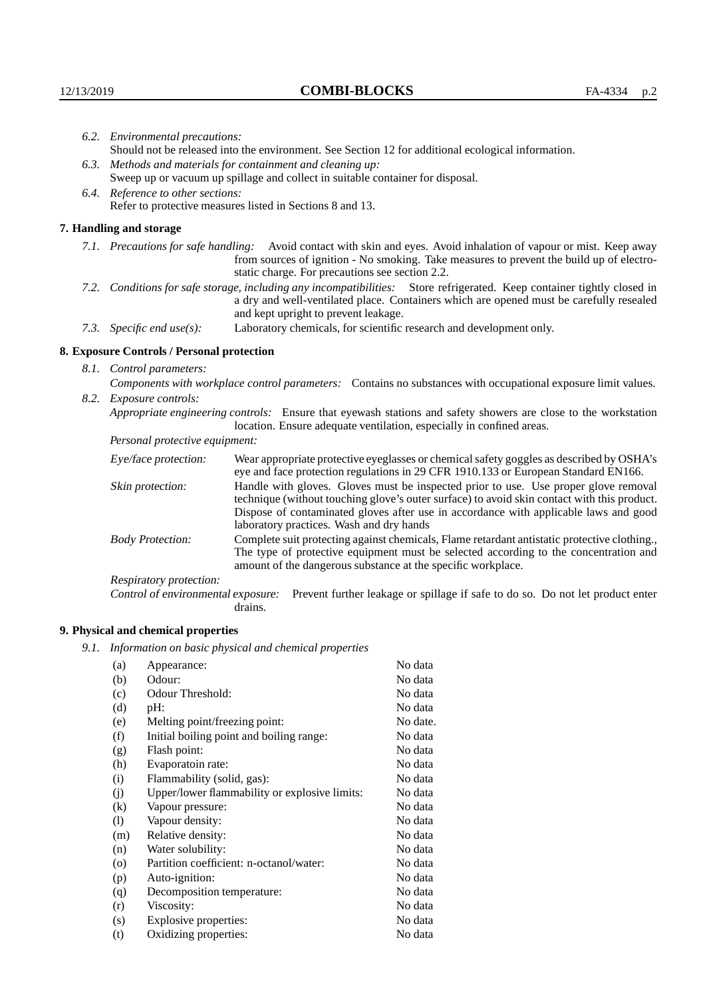| 6.2. Environmental precautions:                                                                                                                                                                                                                            |                                                                                                                                                                                        |                                                                                                                                                                                                                                                                            |  |  |  |
|------------------------------------------------------------------------------------------------------------------------------------------------------------------------------------------------------------------------------------------------------------|----------------------------------------------------------------------------------------------------------------------------------------------------------------------------------------|----------------------------------------------------------------------------------------------------------------------------------------------------------------------------------------------------------------------------------------------------------------------------|--|--|--|
|                                                                                                                                                                                                                                                            | Should not be released into the environment. See Section 12 for additional ecological information.                                                                                     |                                                                                                                                                                                                                                                                            |  |  |  |
|                                                                                                                                                                                                                                                            |                                                                                                                                                                                        | 6.3. Methods and materials for containment and cleaning up:                                                                                                                                                                                                                |  |  |  |
|                                                                                                                                                                                                                                                            |                                                                                                                                                                                        | Sweep up or vacuum up spillage and collect in suitable container for disposal.                                                                                                                                                                                             |  |  |  |
| 6.4. Reference to other sections:                                                                                                                                                                                                                          |                                                                                                                                                                                        |                                                                                                                                                                                                                                                                            |  |  |  |
|                                                                                                                                                                                                                                                            | Refer to protective measures listed in Sections 8 and 13.                                                                                                                              |                                                                                                                                                                                                                                                                            |  |  |  |
|                                                                                                                                                                                                                                                            | 7. Handling and storage                                                                                                                                                                |                                                                                                                                                                                                                                                                            |  |  |  |
|                                                                                                                                                                                                                                                            |                                                                                                                                                                                        | 7.1. Precautions for safe handling: Avoid contact with skin and eyes. Avoid inhalation of vapour or mist. Keep away<br>from sources of ignition - No smoking. Take measures to prevent the build up of electro-<br>static charge. For precautions see section 2.2.         |  |  |  |
| 7.2. Conditions for safe storage, including any incompatibilities: Store refrigerated. Keep container tightly closed in<br>a dry and well-ventilated place. Containers which are opened must be carefully resealed<br>and kept upright to prevent leakage. |                                                                                                                                                                                        |                                                                                                                                                                                                                                                                            |  |  |  |
|                                                                                                                                                                                                                                                            | 7.3. Specific end use(s):                                                                                                                                                              | Laboratory chemicals, for scientific research and development only.                                                                                                                                                                                                        |  |  |  |
|                                                                                                                                                                                                                                                            | 8. Exposure Controls / Personal protection                                                                                                                                             |                                                                                                                                                                                                                                                                            |  |  |  |
|                                                                                                                                                                                                                                                            | 8.1. Control parameters:                                                                                                                                                               |                                                                                                                                                                                                                                                                            |  |  |  |
|                                                                                                                                                                                                                                                            | Components with workplace control parameters: Contains no substances with occupational exposure limit values.                                                                          |                                                                                                                                                                                                                                                                            |  |  |  |
|                                                                                                                                                                                                                                                            | 8.2. Exposure controls:                                                                                                                                                                |                                                                                                                                                                                                                                                                            |  |  |  |
|                                                                                                                                                                                                                                                            | Appropriate engineering controls: Ensure that eyewash stations and safety showers are close to the workstation<br>location. Ensure adequate ventilation, especially in confined areas. |                                                                                                                                                                                                                                                                            |  |  |  |
|                                                                                                                                                                                                                                                            | Personal protective equipment:                                                                                                                                                         |                                                                                                                                                                                                                                                                            |  |  |  |
|                                                                                                                                                                                                                                                            | Eye/face protection:                                                                                                                                                                   | Wear appropriate protective eyeglasses or chemical safety goggles as described by OSHA's<br>eye and face protection regulations in 29 CFR 1910.133 or European Standard EN166.                                                                                             |  |  |  |
|                                                                                                                                                                                                                                                            | Skin protection:                                                                                                                                                                       | Handle with gloves. Gloves must be inspected prior to use. Use proper glove removal<br>technique (without touching glove's outer surface) to avoid skin contact with this product.<br>Dispose of contaminated gloves after use in accordance with applicable laws and good |  |  |  |

laboratory practices. Wash and dry hands Body Protection: Complete suit protecting against chemicals, Flame retardant antistatic protective clothing., The type of protective equipment must be selected according to the concentration and amount of the dangerous substance at the specific workplace.

Respiratory protection:

Control of environmental exposure: Prevent further leakage or spillage if safe to do so. Do not let product enter drains.

# **9. Physical and chemical properties**

*9.1. Information on basic physical and chemical properties*

| (a)                        | Appearance:                                   | No data  |
|----------------------------|-----------------------------------------------|----------|
| (b)                        | Odour:                                        | No data  |
| (c)                        | Odour Threshold:                              | No data  |
| (d)                        | pH:                                           | No data  |
| (e)                        | Melting point/freezing point:                 | No date. |
| (f)                        | Initial boiling point and boiling range:      | No data  |
| (g)                        | Flash point:                                  | No data  |
| (h)                        | Evaporatoin rate:                             | No data  |
| (i)                        | Flammability (solid, gas):                    | No data  |
| (j)                        | Upper/lower flammability or explosive limits: | No data  |
| $\left( k\right)$          | Vapour pressure:                              | No data  |
| $\left( \mathrm{l}\right)$ | Vapour density:                               | No data  |
| (m)                        | Relative density:                             | No data  |
| (n)                        | Water solubility:                             | No data  |
| $\circ$                    | Partition coefficient: n-octanol/water:       | No data  |
| (p)                        | Auto-ignition:                                | No data  |
| (q)                        | Decomposition temperature:                    | No data  |
| (r)                        | Viscosity:                                    | No data  |
| (s)                        | Explosive properties:                         | No data  |
| (t)                        | Oxidizing properties:                         | No data  |